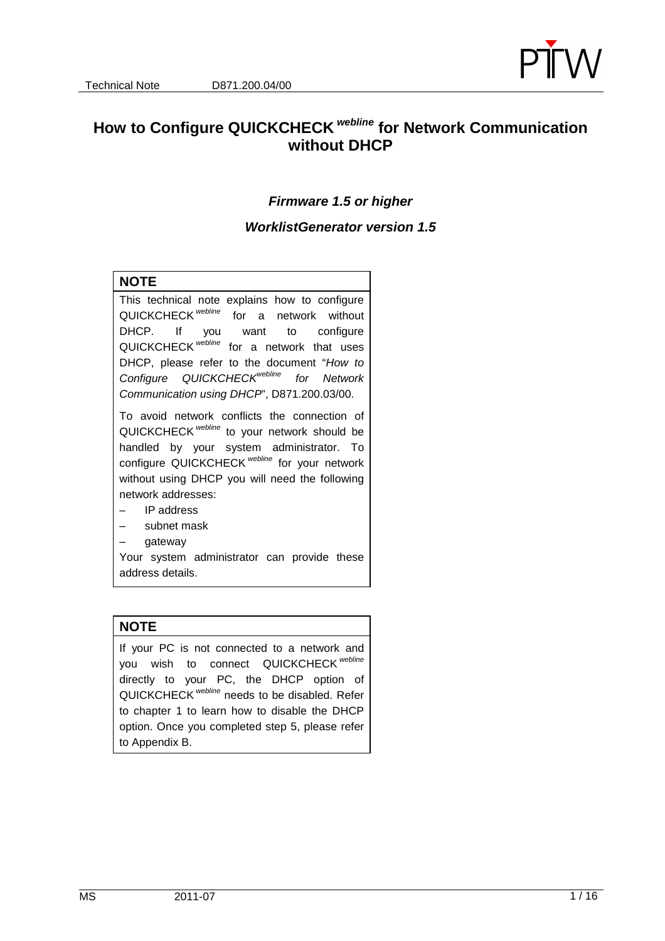

# **How to Configure QUICKCHECK webline for Network Communication without DHCP**

#### **Firmware 1.5 or higher**

#### **WorklistGenerator version 1.5**

#### **NOTE**

This technical note explains how to configure QUICKCHECK<sup> webline</sup> for a network without DHCP. If you want to configure QUICKCHECK<sup> webline</sup> for a network that uses DHCP, please refer to the document "How to Configure QUICKCHECK<sup>webline</sup> for Network Communication using DHCP", D871.200.03/00.

To avoid network conflicts the connection of QUICKCHECK webline to your network should be handled by your system administrator. To configure QUICKCHECK<sup> webline</sup> for your network without using DHCP you will need the following network addresses:

- IP address
- subnet mask
- gateway

Your system administrator can provide these address details.

#### **NOTE**

If your PC is not connected to a network and you wish to connect QUICKCHECK webline directly to your PC, the DHCP option of QUICKCHECK webline needs to be disabled. Refer to chapter 1 to learn how to disable the DHCP option. Once you completed step 5, please refer to Appendix B.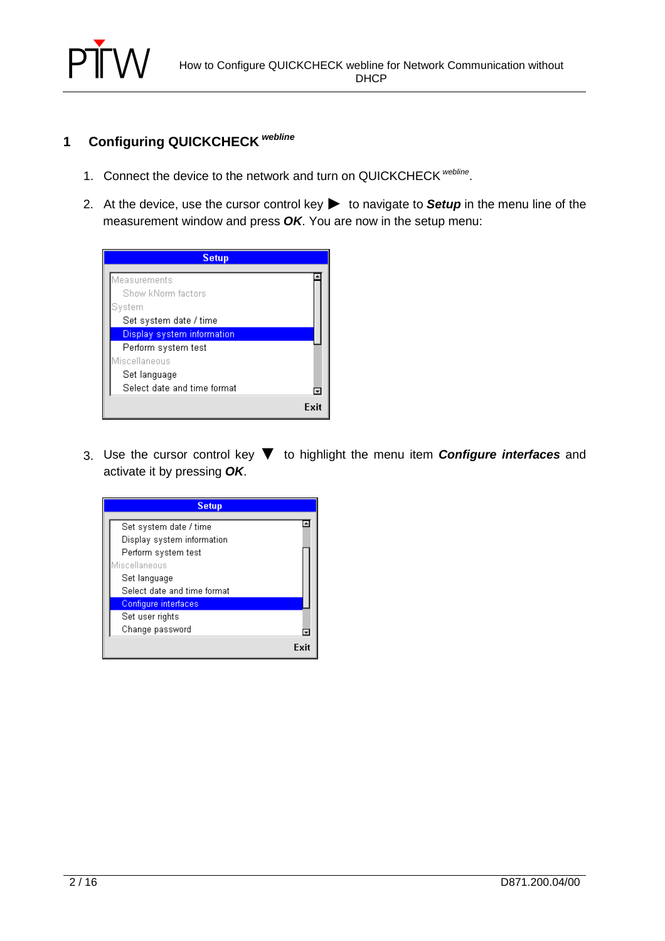

# **1 Configuring QUICKCHECK webline**

- 1. Connect the device to the network and turn on QUICKCHECK <sup>webline</sup>.
- 2. At the device, use the cursor control key▶ to navigate to **Setup** in the menu line of the measurement window and press **OK**. You are now in the setup menu:



3. Use the cursor control key ▼ to highlight the menu item **Configure interfaces** and activate it by pressing **OK**.

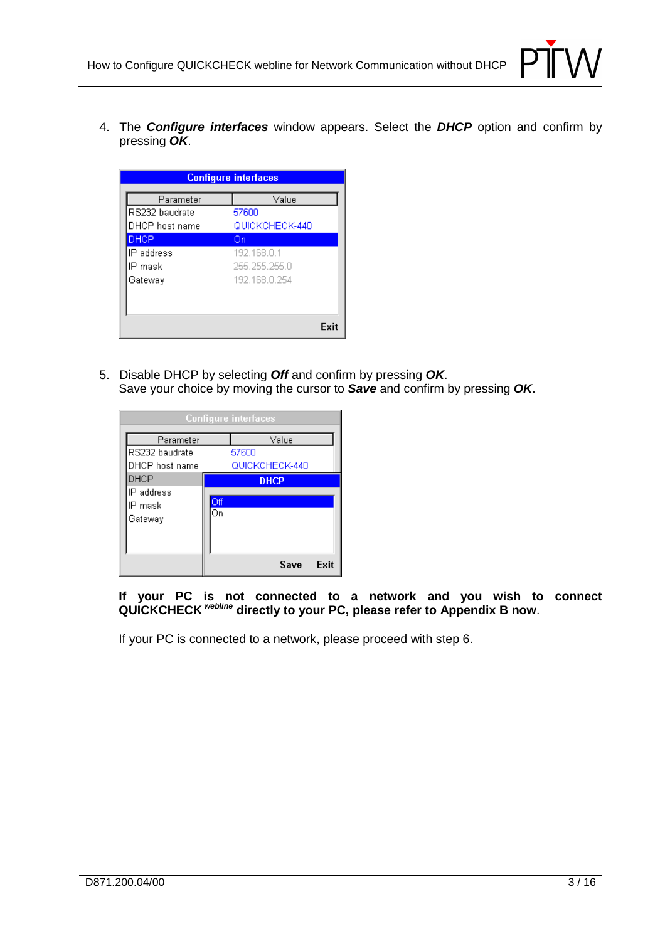

4. The **Configure interfaces** window appears. Select the **DHCP** option and confirm by pressing **OK**.

| <b>Configure interfaces</b> |                |  |
|-----------------------------|----------------|--|
| Parameter                   | Value          |  |
| RS232 baudrate              | 57600          |  |
| DHCP host name              | QUICKCHECK-440 |  |
| DHCP                        | On             |  |
| IP address                  | 192.168.0.1    |  |
| IP mask                     | 255 255 255 0  |  |
| Gateway                     | 192 168 0 254  |  |
|                             |                |  |
|                             |                |  |
|                             | Exit           |  |

5. Disable DHCP by selecting **Off** and confirm by pressing **OK**. Save your choice by moving the cursor to **Save** and confirm by pressing **OK**.

| <b>Configure interfaces</b> |     |       |             |                |      |
|-----------------------------|-----|-------|-------------|----------------|------|
| Parameter                   |     |       |             | Value          |      |
| RS232 baudrate              |     | 57600 |             |                |      |
| DHCP host name              |     |       |             | QUICKCHECK-440 |      |
| DHCP                        |     |       | <b>DHCP</b> |                |      |
| IP address                  |     |       |             |                |      |
| IP mask                     | Off |       |             |                |      |
| Gateway                     | Οn  |       |             |                |      |
|                             |     |       |             |                |      |
|                             |     |       |             |                |      |
|                             |     |       |             | Save           | Exit |

**If your PC is not connected to a network and you wish to connect QUICKCHECK webline directly to your PC, please refer to Appendix B now**.

If your PC is connected to a network, please proceed with step 6.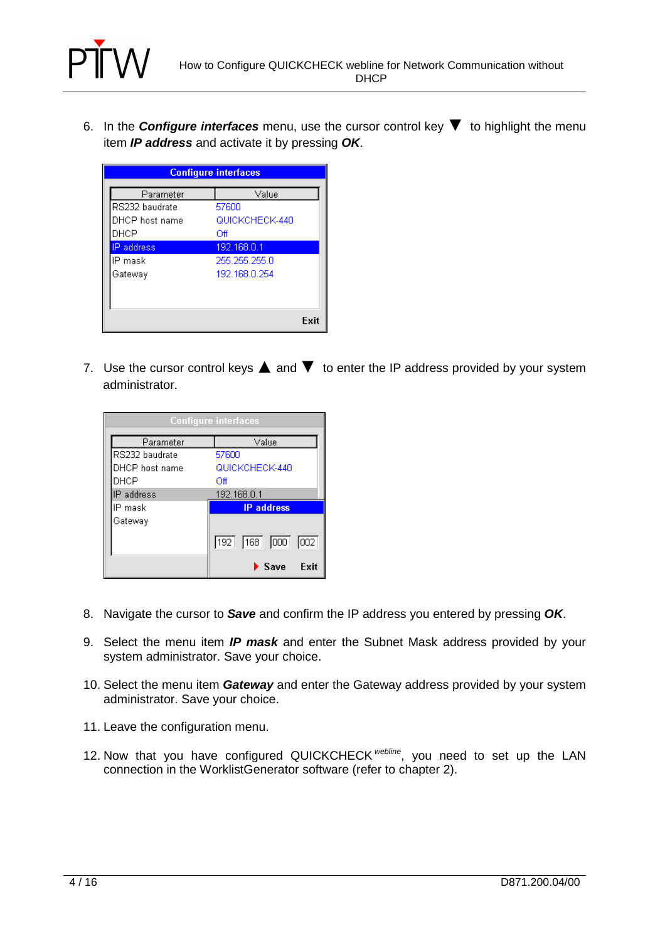

6. In the **Configure interfaces** menu, use the cursor control key ▼ to highlight the menu item **IP address** and activate it by pressing **OK**.

| <b>Configure interfaces</b> |                |      |  |  |
|-----------------------------|----------------|------|--|--|
| Parameter                   | Value          |      |  |  |
| RS232 baudrate              | 57600          |      |  |  |
| DHCP host name              | QUICKCHECK-440 |      |  |  |
| DHCP                        | Off            |      |  |  |
| P address                   | 192.168.0.1    |      |  |  |
| IP mask                     | 255.255.255.0  |      |  |  |
| Gateway                     | 192.168.0.254  |      |  |  |
|                             |                |      |  |  |
|                             |                |      |  |  |
|                             |                | Exit |  |  |

7. Use the cursor control keys  $\blacktriangle$  and  $\nabla$  to enter the IP address provided by your system administrator.

| <b>Configure interfaces</b> |                                    |  |
|-----------------------------|------------------------------------|--|
| Parameter                   | Value                              |  |
| RS232 baudrate              | 57600                              |  |
| DHCP host name              | QUICKCHECK-440                     |  |
| DHCP                        | Off                                |  |
| IP address                  | 192.168.0.1                        |  |
| IP mask                     | <b>IP</b> address                  |  |
| Gateway                     |                                    |  |
|                             | 168   000<br>$\boxed{002}$<br>192  |  |
|                             | Exit<br>$\blacktriangleright$ Save |  |

- 8. Navigate the cursor to **Save** and confirm the IP address you entered by pressing **OK**.
- 9. Select the menu item **IP mask** and enter the Subnet Mask address provided by your system administrator. Save your choice.
- 10. Select the menu item **Gateway** and enter the Gateway address provided by your system administrator. Save your choice.
- 11. Leave the configuration menu.
- 12. Now that you have configured QUICKCHECK webline, you need to set up the LAN connection in the WorklistGenerator software (refer to chapter 2).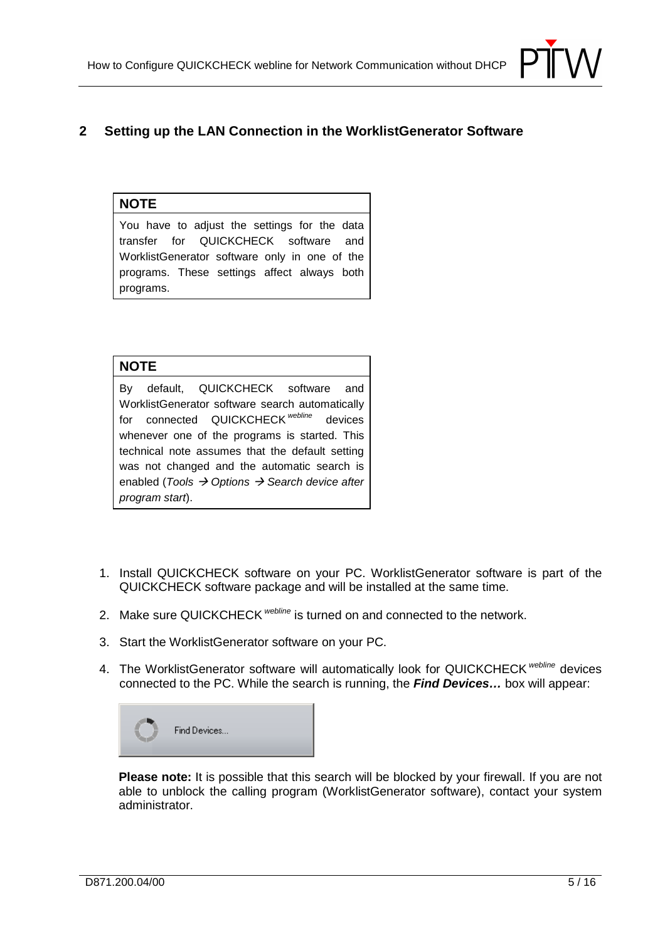

# **2 Setting up the LAN Connection in the WorklistGenerator Software**

## **NOTE**

You have to adjust the settings for the data transfer for QUICKCHECK software and WorklistGenerator software only in one of the programs. These settings affect always both programs.

#### **NOTE**

By default, QUICKCHECK software and WorklistGenerator software search automatically for connected QUICKCHECK<sup>webline</sup> devices whenever one of the programs is started. This technical note assumes that the default setting was not changed and the automatic search is enabled (Tools  $\rightarrow$  Options  $\rightarrow$  Search device after program start).

- 1. Install QUICKCHECK software on your PC. WorklistGenerator software is part of the QUICKCHECK software package and will be installed at the same time.
- 2. Make sure QUICKCHECK webline is turned on and connected to the network.
- 3. Start the WorklistGenerator software on your PC.
- 4. The WorklistGenerator software will automatically look for QUICKCHECK webline devices connected to the PC. While the search is running, the **Find Devices…** box will appear:



**Please note:** It is possible that this search will be blocked by your firewall. If you are not able to unblock the calling program (WorklistGenerator software), contact your system administrator.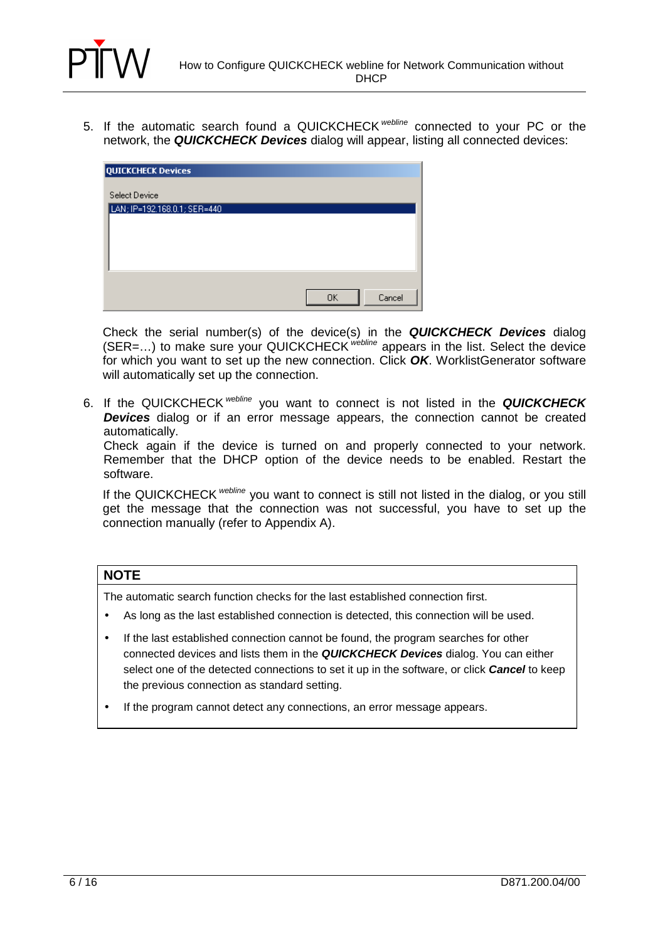

5. If the automatic search found a QUICKCHECK webline connected to your PC or the network, the **QUICKCHECK Devices** dialog will appear, listing all connected devices:

| QUICKCHECK Devices           |              |
|------------------------------|--------------|
| Select Device                |              |
| LAN; IP=192.168.0.1; SER=440 |              |
|                              |              |
|                              |              |
|                              |              |
|                              | Cancel<br>0K |

Check the serial number(s) of the device(s) in the **QUICKCHECK Devices** dialog (SER=...) to make sure your QUICKCHECK webline appears in the list. Select the device for which you want to set up the new connection. Click **OK**. WorklistGenerator software will automatically set up the connection.

6. If the QUICKCHECK webline you want to connect is not listed in the **QUICKCHECK Devices** dialog or if an error message appears, the connection cannot be created automatically.

Check again if the device is turned on and properly connected to your network. Remember that the DHCP option of the device needs to be enabled. Restart the software.

If the QUICKCHECK webline you want to connect is still not listed in the dialog, or you still get the message that the connection was not successful, you have to set up the connection manually (refer to Appendix A).

### **NOTE**

The automatic search function checks for the last established connection first.

- As long as the last established connection is detected, this connection will be used.
- If the last established connection cannot be found, the program searches for other connected devices and lists them in the **QUICKCHECK Devices** dialog. You can either select one of the detected connections to set it up in the software, or click **Cancel** to keep the previous connection as standard setting.
- If the program cannot detect any connections, an error message appears.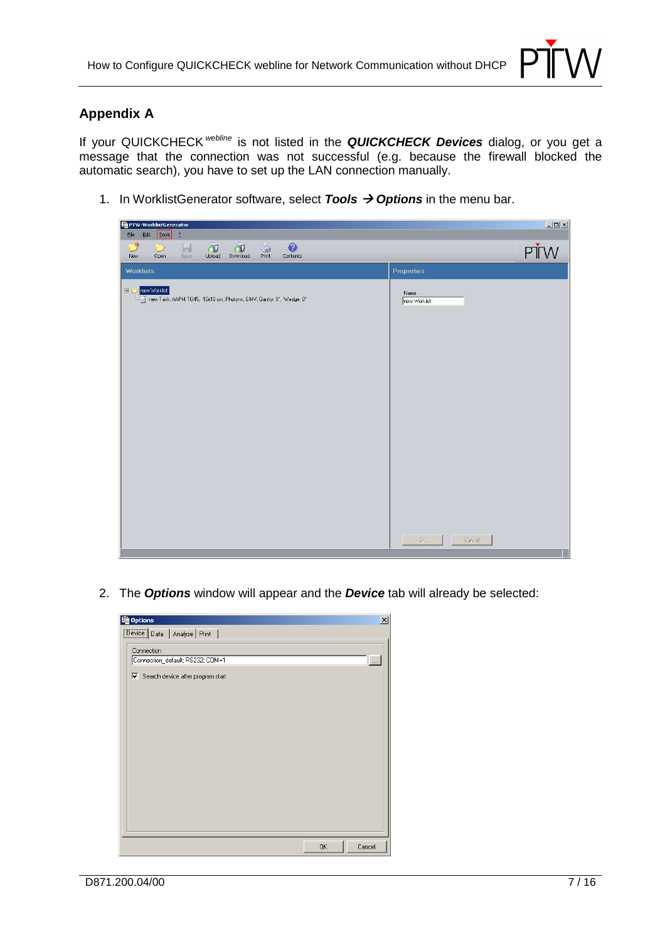

# **Appendix A**

If your QUICKCHECK webline is not listed in the **QUICKCHECK Devices** dialog, or you get a message that the connection was not successful (e.g. because the firewall blocked the automatic search), you have to set up the LAN connection manually.

1. In WorklistGenerator software, select **Tools**  $\rightarrow$  **Options** in the menu bar.



2. The **Options** window will appear and the **Device** tab will already be selected:

| tg Options                                     | $\vert x \vert$ |
|------------------------------------------------|-----------------|
| Device Data   Analyze   Print                  |                 |
| Connection<br>Connection_default; RS232; COM=1 | $\ldots$        |
| 区 Search device after program start            |                 |
|                                                |                 |
| 0K                                             | Cancel          |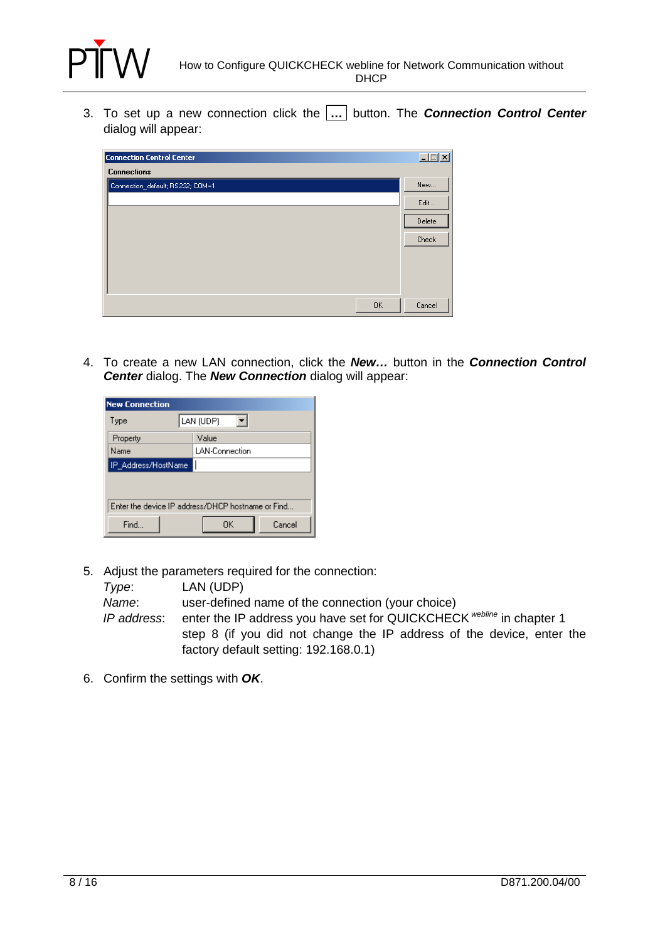

3. To set up a new connection click the **…** button. The **Connection Control Center** dialog will appear:



4. To create a new LAN connection, click the **New…** button in the **Connection Control Center** dialog. The **New Connection** dialog will appear:

| <b>New Connection</b>                             |                       |  |  |  |
|---------------------------------------------------|-----------------------|--|--|--|
| Type                                              | LAN (UDP)             |  |  |  |
| Property                                          | Value                 |  |  |  |
| Name                                              | <b>LAN-Connection</b> |  |  |  |
| IP_Address/HostName                               |                       |  |  |  |
|                                                   |                       |  |  |  |
| Enter the device IP address/DHCP hostname or Find |                       |  |  |  |
| Find                                              | Cancel<br>OΚ          |  |  |  |

5. Adjust the parameters required for the connection:

| Type:       | LAN (UDP)                                                             |
|-------------|-----------------------------------------------------------------------|
| Name:       | user-defined name of the connection (your choice)                     |
| IP address: | enter the IP address you have set for QUICKCHECK webline in chapter 1 |
|             | step 8 (if you did not change the IP address of the device, enter the |
|             | factory default setting: 192.168.0.1)                                 |

6. Confirm the settings with **OK**.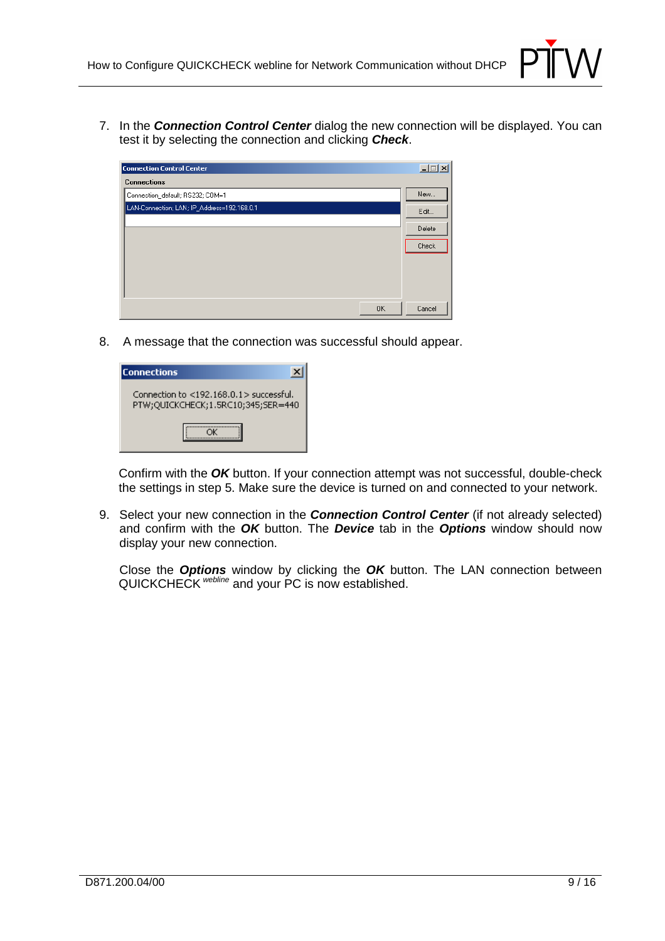

7. In the **Connection Control Center** dialog the new connection will be displayed. You can test it by selecting the connection and clicking **Check**.

| <b>Connection Control Center</b>            |           | - 10   |
|---------------------------------------------|-----------|--------|
| <b>Connections</b>                          |           |        |
| Connection_default; RS232; COM=1            |           | New    |
| LAN-Connection; LAN; IP_Address=192.168.0.1 |           | Edit   |
|                                             |           | Delete |
|                                             |           | Check  |
|                                             |           |        |
|                                             |           |        |
|                                             |           |        |
|                                             | <b>OK</b> | Cancel |

8. A message that the connection was successful should appear.

| <b>Connections</b>                                                                  |
|-------------------------------------------------------------------------------------|
| Connection to $<$ 192.168.0.1 $>$ successful.<br>PTW;QUICKCHECK;1.5RC10;345;SER=440 |
|                                                                                     |

Confirm with the **OK** button. If your connection attempt was not successful, double-check the settings in step 5. Make sure the device is turned on and connected to your network.

9. Select your new connection in the **Connection Control Center** (if not already selected) and confirm with the **OK** button. The **Device** tab in the **Options** window should now display your new connection.

 Close the **Options** window by clicking the **OK** button. The LAN connection between QUICKCHECK webline and your PC is now established.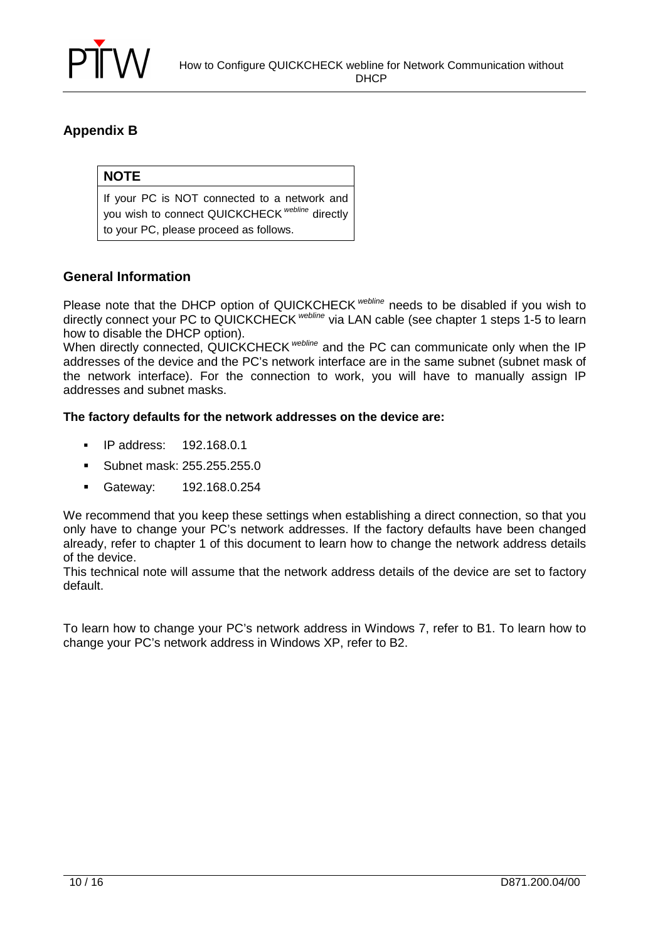

# **Appendix B**

## **NOTE**

If your PC is NOT connected to a network and you wish to connect QUICKCHECK<sup>webline</sup> directly to your PC, please proceed as follows.

## **General Information**

Please note that the DHCP option of QUICKCHECK webline needs to be disabled if you wish to directly connect your PC to QUICKCHECK webline via LAN cable (see chapter 1 steps 1-5 to learn how to disable the DHCP option).

When directly connected, QUICKCHECK webline and the PC can communicate only when the IP addresses of the device and the PC's network interface are in the same subnet (subnet mask of the network interface). For the connection to work, you will have to manually assign IP addresses and subnet masks.

#### **The factory defaults for the network addresses on the device are:**

- IP address: 192.168.0.1
- -Subnet mask: 255.255.255.0
- -Gateway: 192.168.0.254

We recommend that you keep these settings when establishing a direct connection, so that you only have to change your PC's network addresses. If the factory defaults have been changed already, refer to chapter 1 of this document to learn how to change the network address details of the device.

This technical note will assume that the network address details of the device are set to factory default.

To learn how to change your PC's network address in Windows 7, refer to B1. To learn how to change your PC's network address in Windows XP, refer to B2.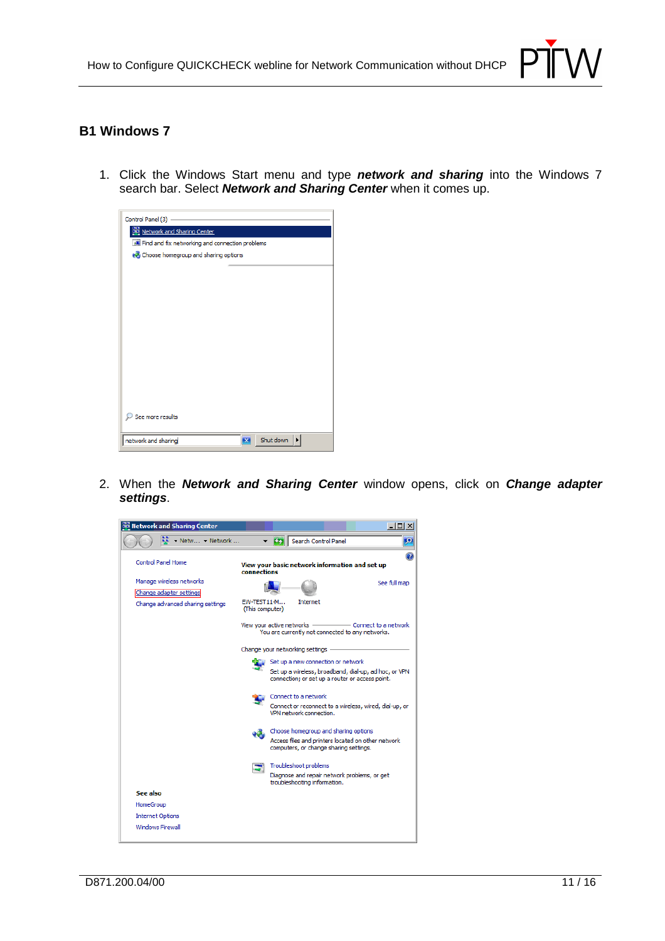

## **B1 Windows 7**

1. Click the Windows Start menu and type **network and sharing** into the Windows 7 search bar. Select **Network and Sharing Center** when it comes up.

| Control Panel (3) -                             |                |
|-------------------------------------------------|----------------|
| Network and Sharing Center                      |                |
| Find and fix networking and connection problems |                |
| Choose homegroup and sharing options            |                |
|                                                 |                |
|                                                 |                |
|                                                 |                |
|                                                 |                |
|                                                 |                |
|                                                 |                |
|                                                 |                |
|                                                 |                |
|                                                 |                |
|                                                 |                |
|                                                 |                |
|                                                 |                |
| See more results                                |                |
| network and sharing                             | Shut down<br>× |

2. When the **Network and Sharing Center** window opens, click on **Change adapter settings**.

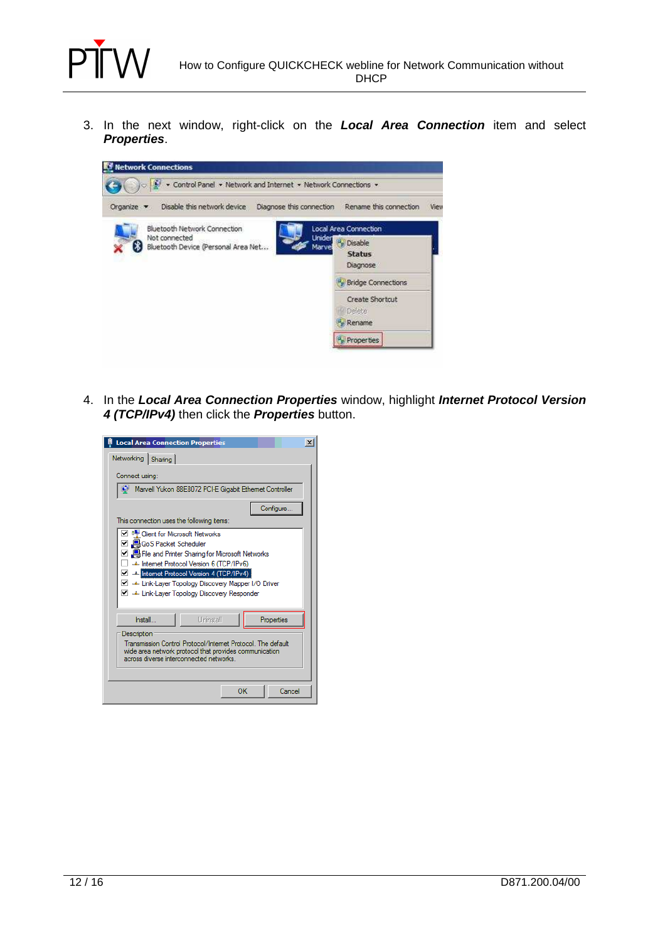

3. In the next window, right-click on the **Local Area Connection** item and select **Properties**.



4. In the **Local Area Connection Properties** window, highlight **Internet Protocol Version 4 (TCP/IPv4)** then click the **Properties** button.

| <b>Local Area Connection Properties</b>                                                                                                                                                                                                                                                                       | $\times$ |  |  |
|---------------------------------------------------------------------------------------------------------------------------------------------------------------------------------------------------------------------------------------------------------------------------------------------------------------|----------|--|--|
| Networking<br>Sharing                                                                                                                                                                                                                                                                                         |          |  |  |
| Connect using:                                                                                                                                                                                                                                                                                                |          |  |  |
| Marvell Yukon 88E8072 PCI-E Gigabit Ethemet Controller                                                                                                                                                                                                                                                        |          |  |  |
| Configure                                                                                                                                                                                                                                                                                                     |          |  |  |
| This connection uses the following items:                                                                                                                                                                                                                                                                     |          |  |  |
| <b>Client for Microsoft Networks</b><br>☑ ■ QoS Packet Scheduler<br>☑ Bie and Printer Sharing for Microsoft Networks<br>- Internet Protocol Version 6 (TCP/IPv6)<br>T Themet Protocol Version 4 (TCP/IPv4)<br>⊽<br>Link-Laver Topology Discovery Mapper I/O Driver<br>Link-Layer Topology Discovery Responder |          |  |  |
| Uninstall<br>Properties<br>Install                                                                                                                                                                                                                                                                            |          |  |  |
| Description<br>Transmission Control Protocol/Internet Protocol. The default<br>wide area network protocol that provides communication<br>across diverse interconnected networks.                                                                                                                              |          |  |  |
| OК<br>Cancel                                                                                                                                                                                                                                                                                                  |          |  |  |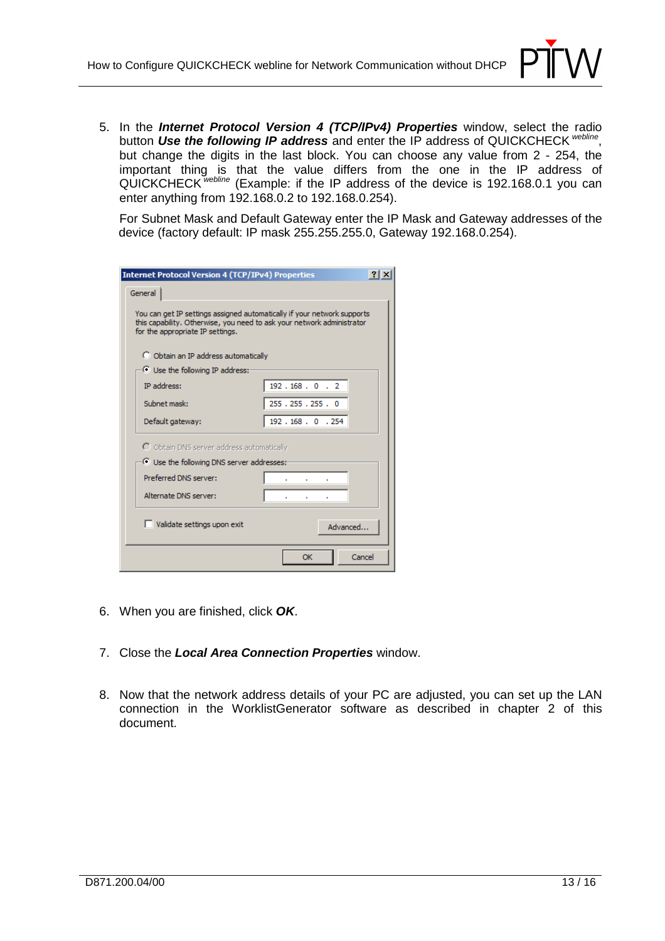

5. In the **Internet Protocol Version 4 (TCP/IPv4) Properties** window, select the radio button Use the following IP address and enter the IP address of QUICKCHECK <sup>webline</sup>, but change the digits in the last block. You can choose any value from 2 - 254, the important thing is that the value differs from the one in the IP address of QUICKCHECK webline (Example: if the IP address of the device is 192.168.0.1 you can enter anything from 192.168.0.2 to 192.168.0.254).

 For Subnet Mask and Default Gateway enter the IP Mask and Gateway addresses of the device (factory default: IP mask 255.255.255.0, Gateway 192.168.0.254).

| <b>Internet Protocol Version 4 (TCP/IPv4) Properties</b>                                                                                                                              |               |
|---------------------------------------------------------------------------------------------------------------------------------------------------------------------------------------|---------------|
| General                                                                                                                                                                               |               |
| You can get IP settings assigned automatically if your network supports<br>this capability. Otherwise, you need to ask your network administrator<br>for the appropriate IP settings. |               |
| O Obtain an IP address automatically                                                                                                                                                  |               |
| C Use the following IP address:                                                                                                                                                       |               |
| <b>IP</b> address:                                                                                                                                                                    | 192.168.0.2   |
| Subnet mask:                                                                                                                                                                          | 255.255.255.0 |
| Default gateway:                                                                                                                                                                      | 192.168.0.254 |
| C Obtain DNS server address automatically                                                                                                                                             |               |
| Use the following DNS server addresses:                                                                                                                                               |               |
| Preferred DNS server:                                                                                                                                                                 |               |
| Alternate DNS server:                                                                                                                                                                 |               |
| Validate settings upon exit                                                                                                                                                           | Advanced      |
|                                                                                                                                                                                       | Cancel<br>OK  |

- 6. When you are finished, click **OK**.
- 7. Close the **Local Area Connection Properties** window.
- 8. Now that the network address details of your PC are adjusted, you can set up the LAN connection in the WorklistGenerator software as described in chapter 2 of this document.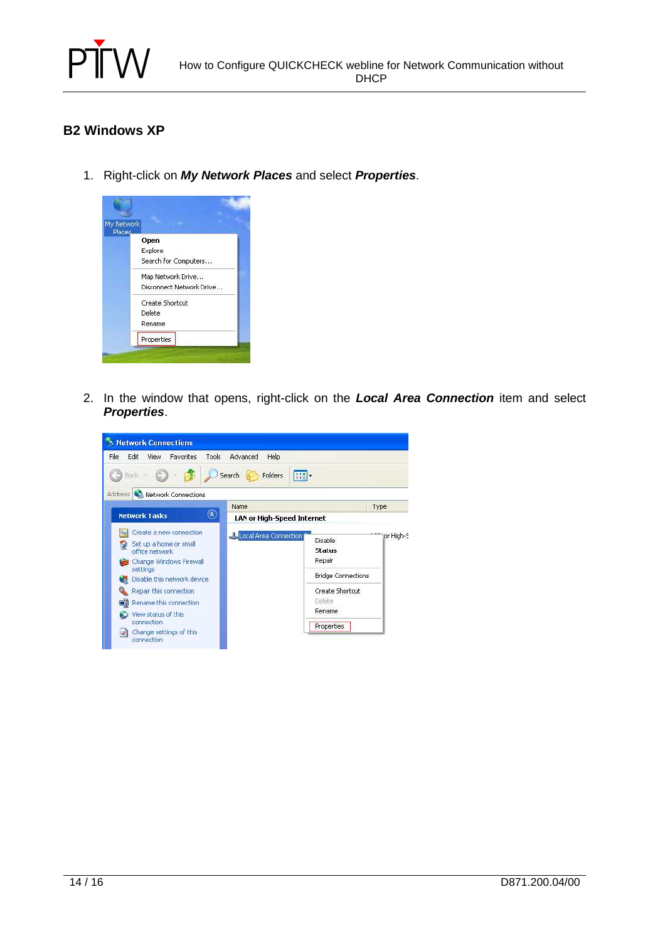

# **B2 Windows XP**

1. Right-click on **My Network Places** and select **Properties**.



2. In the window that opens, right-click on the **Local Area Connection** item and select **Properties**.

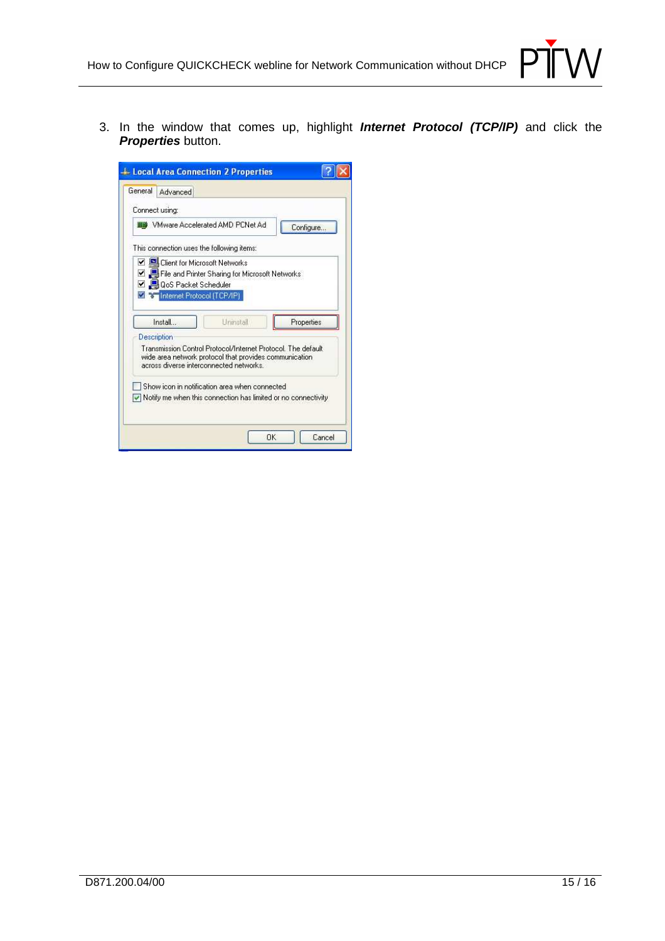

3. In the window that comes up, highlight **Internet Protocol (TCP/IP)** and click the **Properties** button.

| Connect using:<br>Whware Accelerated AMD PCNet Ad-                                                                                                |           |  | Configure                                                   |
|---------------------------------------------------------------------------------------------------------------------------------------------------|-----------|--|-------------------------------------------------------------|
| This connection uses the following items:                                                                                                         |           |  |                                                             |
| □ S Client for Microsoft Networks<br>File and Printer Sharing for Microsoft Networks<br><b>V QoS</b> Packet Scheduler<br>Themet Protocol (TCP/IP) |           |  |                                                             |
| Install                                                                                                                                           | Uninstall |  | Properties                                                  |
| Description                                                                                                                                       |           |  |                                                             |
| wide area network protocol that provides communication<br>across diverse interconnected networks.                                                 |           |  | Transmission Control Protocol/Internet Protocol The default |
| Show icon in notification area when connected                                                                                                     |           |  |                                                             |